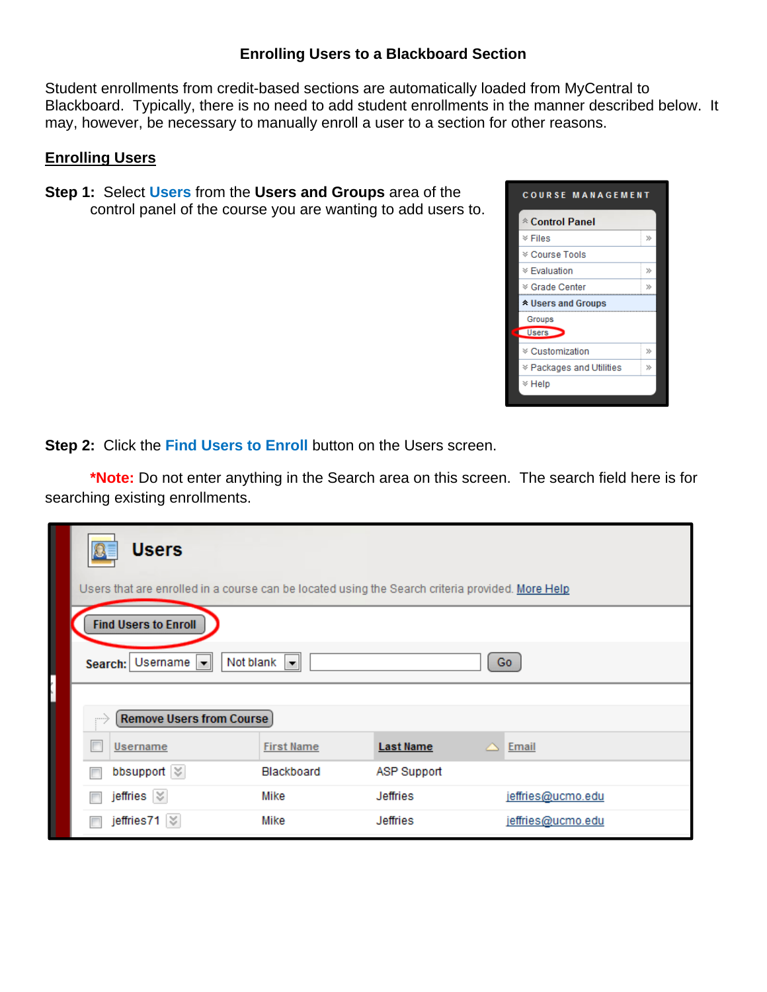## **Enrolling Users to a Blackboard Section**

Student enrollments from credit-based sections are automatically loaded from MyCentral to Blackboard. Typically, there is no need to add student enrollments in the manner described below. It may, however, be necessary to manually enroll a user to a section for other reasons.

## **Enrolling Users**

**Step 1:** Select **Users** from the **Users and Groups** area of the control panel of the course you are wanting to add users to.



**Step 2: Click the Find Users to Enroll** button on the Users screen.

**\*Note:** Do not enter anything in the Search area on this screen. The search field here is for searching existing enrollments.

| the property of the control of the control of the control of the control of the control of the control of the control of the control of the control of the control of the control of the control of the control of the control | <b>Users</b><br>Users that are enrolled in a course can be located using the Search criteria provided. More Help |                         |                    |                   |  |  |
|--------------------------------------------------------------------------------------------------------------------------------------------------------------------------------------------------------------------------------|------------------------------------------------------------------------------------------------------------------|-------------------------|--------------------|-------------------|--|--|
|                                                                                                                                                                                                                                | <b>Find Users to Enroll</b>                                                                                      |                         |                    |                   |  |  |
|                                                                                                                                                                                                                                | Search: Username                                                                                                 | Not blank $\  \cdot \ $ |                    | Go                |  |  |
|                                                                                                                                                                                                                                |                                                                                                                  |                         |                    |                   |  |  |
|                                                                                                                                                                                                                                | <b>Remove Users from Course</b><br>$\cdots$                                                                      |                         |                    |                   |  |  |
|                                                                                                                                                                                                                                | Username                                                                                                         | <b>First Name</b>       | <b>Last Name</b>   | $\triangle$ Email |  |  |
|                                                                                                                                                                                                                                | bbsupport $\lvert \heartsuit \rvert$                                                                             | Blackboard              | <b>ASP Support</b> |                   |  |  |
|                                                                                                                                                                                                                                | jeffries $\vert \, \rangle$                                                                                      | Mike                    | <b>Jeffries</b>    | jeffries@ucmo.edu |  |  |
|                                                                                                                                                                                                                                | jeffries71 $\%$                                                                                                  | Mike                    | <b>Jeffries</b>    | jeffries@ucmo.edu |  |  |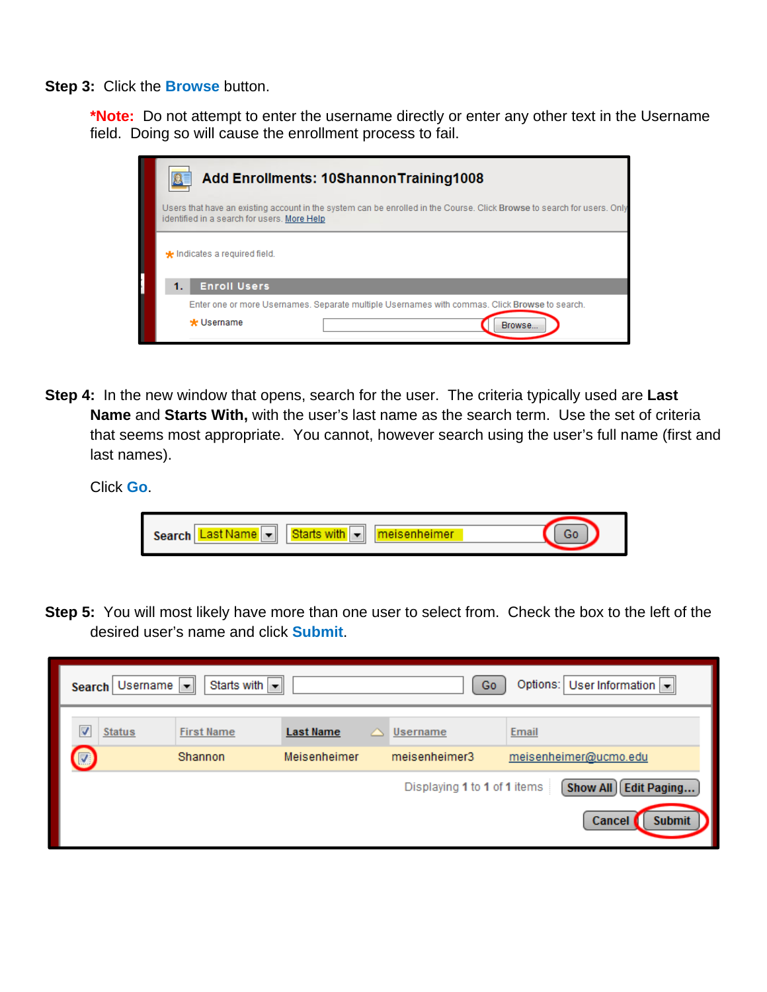**Step 3:** Click the **Browse** button.

**\*Note:** Do not attempt to enter the username directly or enter any other text in the Username field. Doing so will cause the enrollment process to fail.

| <b>Add Enrollments: 10ShannonTraining1008</b>                                                                                                                          |  |  |  |
|------------------------------------------------------------------------------------------------------------------------------------------------------------------------|--|--|--|
| Users that have an existing account in the system can be enrolled in the Course. Click Browse to search for users. Only<br>identified in a search for users. More Help |  |  |  |
| <b>*</b> Indicates a required field.                                                                                                                                   |  |  |  |
| <b>Enroll Users</b><br>1.                                                                                                                                              |  |  |  |
| Enter one or more Usernames, Separate multiple Usernames with commas, Click Browse to search.                                                                          |  |  |  |
| * Username<br>Browse                                                                                                                                                   |  |  |  |

**Step 4:** In the new window that opens, search for the user. The criteria typically used are **Last Name** and **Starts With,** with the user's last name as the search term. Use the set of criteria that seems most appropriate. You cannot, however search using the user's full name (first and last names).

Click **Go**.

| Ш<br>ner.<br>Search<br>ж |  |
|--------------------------|--|
|                          |  |

**Step 5:** You will most likely have more than one user to select from. Check the box to the left of the desired user's name and click **Submit**.

| <b>Search</b>         | Starts with $\  \cdot \ $<br>Usemame $\  \cdot \ $ |                  |                              | Options:   User Information  -<br>Go |
|-----------------------|----------------------------------------------------|------------------|------------------------------|--------------------------------------|
| ⊽<br><b>Status</b>    | <b>First Name</b>                                  | <b>Last Name</b> | Username                     | Email                                |
| $\bm{\mathsf{\odot}}$ | Shannon                                            | Meisenheimer     | meisenheimer3                | meisenheimer@ucmo.edu                |
|                       |                                                    |                  | Displaying 1 to 1 of 1 items | <b>Edit Paging</b><br>Show All       |
|                       |                                                    |                  |                              | <b>Cancel</b><br><b>Submit</b>       |